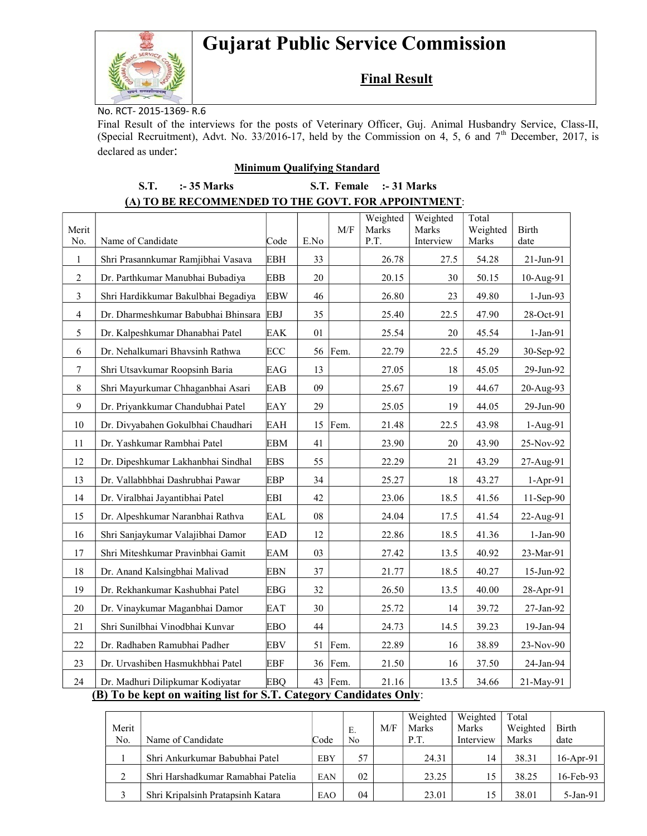# Gujarat Public Service Commission



## Final Result

No. RCT- 2015-1369- R.6

Final Result of the interviews for the posts of Veterinary Officer, Guj. Animal Husbandry Service, Class-II, (Special Recruitment), Advt. No. 33/2016-17, held by the Commission on 4, 5, 6 and  $7<sup>th</sup>$  December, 2017, is declared as under:

#### Minimum Qualifying Standard

### S.T. :- 35 Marks S.T. Female :- 31 Marks (A) TO BE RECOMMENDED TO THE GOVT. FOR APPOINTMENT:

| Merit                                                             |                                     |            |      | M/F     | Weighted<br>Marks | Weighted<br>Marks | Total<br>Weighted | <b>Birth</b> |  |
|-------------------------------------------------------------------|-------------------------------------|------------|------|---------|-------------------|-------------------|-------------------|--------------|--|
| No.                                                               | Name of Candidate                   | Code       | E.No |         | P.T.              | Interview         | Marks             | date         |  |
| $\mathbf{1}$                                                      | Shri Prasannkumar Ramjibhai Vasava  | <b>EBH</b> | 33   |         | 26.78             | 27.5              | 54.28             | 21-Jun-91    |  |
| $\sqrt{2}$                                                        | Dr. Parthkumar Manubhai Bubadiya    | <b>EBB</b> | 20   |         | 20.15             | 30                | 50.15             | 10-Aug-91    |  |
| $\mathfrak{Z}$                                                    | Shri Hardikkumar Bakulbhai Begadiya | <b>EBW</b> | 46   |         | 26.80             | 23                | 49.80             | $1-Jun-93$   |  |
| $\overline{4}$                                                    | Dr. Dharmeshkumar Babubhai Bhinsara | <b>EBJ</b> | 35   |         | 25.40             | 22.5              | 47.90             | 28-Oct-91    |  |
| 5                                                                 | Dr. Kalpeshkumar Dhanabhai Patel    | EAK        | 01   |         | 25.54             | 20                | 45.54             | 1-Jan-91     |  |
| 6                                                                 | Dr. Nehalkumari Bhavsinh Rathwa     | ECC        |      | 56 Fem. | 22.79             | 22.5              | 45.29             | 30-Sep-92    |  |
| 7                                                                 | Shri Utsavkumar Roopsinh Baria      | EAG        | 13   |         | 27.05             | 18                | 45.05             | 29-Jun-92    |  |
| $8\,$                                                             | Shri Mayurkumar Chhaganbhai Asari   | EAB        | 09   |         | 25.67             | 19                | 44.67             | 20-Aug-93    |  |
| 9                                                                 | Dr. Priyankkumar Chandubhai Patel   | EAY        | 29   |         | 25.05             | 19                | 44.05             | 29-Jun-90    |  |
| 10                                                                | Dr. Divyabahen Gokulbhai Chaudhari  | EAH        | 15   | Fem.    | 21.48             | 22.5              | 43.98             | $1-Aug-91$   |  |
| 11                                                                | Dr. Yashkumar Rambhai Patel         | <b>EBM</b> | 41   |         | 23.90             | 20                | 43.90             | 25-Nov-92    |  |
| 12                                                                | Dr. Dipeshkumar Lakhanbhai Sindhal  | <b>EBS</b> | 55   |         | 22.29             | 21                | 43.29             | 27-Aug-91    |  |
| 13                                                                | Dr. Vallabhbhai Dashrubhai Pawar    | EBP        | 34   |         | 25.27             | 18                | 43.27             | $1-Apr-91$   |  |
| 14                                                                | Dr. Viralbhai Jayantibhai Patel     | EBI        | 42   |         | 23.06             | 18.5              | 41.56             | 11-Sep-90    |  |
| 15                                                                | Dr. Alpeshkumar Naranbhai Rathva    | EAL        | 08   |         | 24.04             | 17.5              | 41.54             | 22-Aug-91    |  |
| 16                                                                | Shri Sanjaykumar Valajibhai Damor   | <b>EAD</b> | 12   |         | 22.86             | 18.5              | 41.36             | $1-Jan-90$   |  |
| 17                                                                | Shri Miteshkumar Pravinbhai Gamit   | EAM        | 03   |         | 27.42             | 13.5              | 40.92             | 23-Mar-91    |  |
| 18                                                                | Dr. Anand Kalsingbhai Malivad       | EBN        | 37   |         | 21.77             | 18.5              | 40.27             | 15-Jun-92    |  |
| 19                                                                | Dr. Rekhankumar Kashubhai Patel     | <b>EBG</b> | 32   |         | 26.50             | 13.5              | 40.00             | 28-Apr-91    |  |
| 20                                                                | Dr. Vinaykumar Maganbhai Damor      | EAT        | 30   |         | 25.72             | 14                | 39.72             | 27-Jan-92    |  |
| 21                                                                | Shri Sunilbhai Vinodbhai Kunvar     | <b>EBO</b> | 44   |         | 24.73             | 14.5              | 39.23             | 19-Jan-94    |  |
| 22                                                                | Dr. Radhaben Ramubhai Padher        | <b>EBV</b> | 51   | Fem.    | 22.89             | 16                | 38.89             | 23-Nov-90    |  |
| 23                                                                | Dr. Urvashiben Hasmukhbhai Patel    | <b>EBF</b> | 36   | Fem.    | 21.50             | 16                | 37.50             | 24-Jan-94    |  |
| 24                                                                | Dr. Madhuri Dilipkumar Kodiyatar    | <b>EBQ</b> |      | 43 Fem. | 21.16             | 13.5              | 34.66             | 21-May-91    |  |
| (B) To be kept on waiting list for S.T. Category Candidates Only: |                                     |            |      |         |                   |                   |                   |              |  |

|               |                                    |      |    |     | Weighted | Weighted  | Total    |              |
|---------------|------------------------------------|------|----|-----|----------|-----------|----------|--------------|
| Merit         |                                    |      | Ε. | M/F | Marks    | Marks     | Weighted | Birth        |
| No.           | Name of Candidate                  | Code | No |     | P.T.     | Interview | Marks    | date         |
|               | Shri Ankurkumar Babubhai Patel     | EBY  | 57 |     | 24.31    | 14        | 38.31    | $16$ -Apr-91 |
|               |                                    |      |    |     |          |           |          |              |
| $\gamma$<br>∠ | Shri Harshadkumar Ramabhai Patelia | EAN  | 02 |     | 23.25    | 15        | 38.25    | $16$ -Feb-93 |
|               | Shri Kripalsinh Pratapsinh Katara  | EAO  | 04 |     | 23.01    | 15        | 38.01    | $5-Jan-91$   |